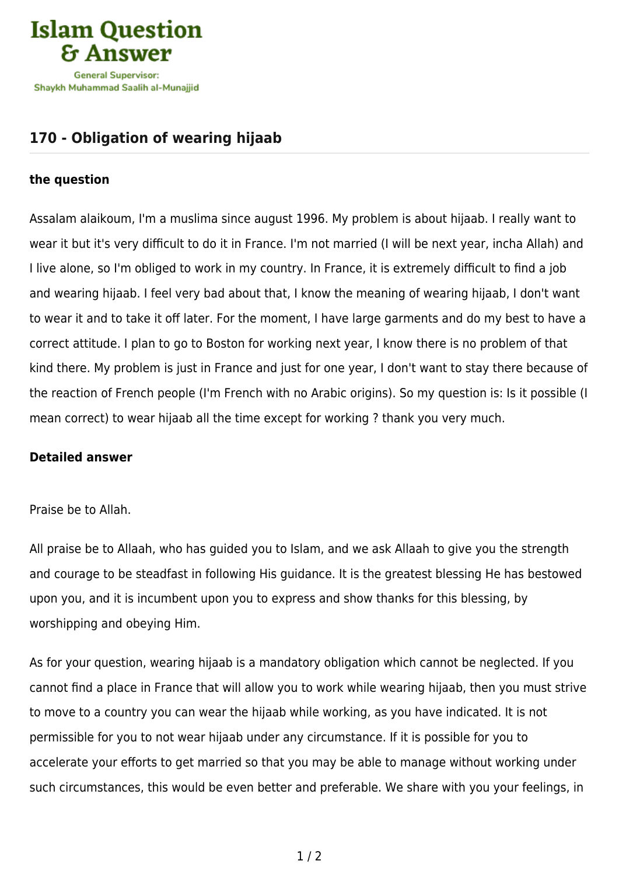

## **[170 - Obligation of wearing hijaab](https://islamqa.com/en/answers/170/obligation-of-wearing-hijaab)**

## **the question**

Assalam alaikoum, I'm a muslima since august 1996. My problem is about hijaab. I really want to wear it but it's very difficult to do it in France. I'm not married (I will be next year, incha Allah) and I live alone, so I'm obliged to work in my country. In France, it is extremely difficult to find a job and wearing hijaab. I feel very bad about that, I know the meaning of wearing hijaab, I don't want to wear it and to take it off later. For the moment, I have large garments and do my best to have a correct attitude. I plan to go to Boston for working next year, I know there is no problem of that kind there. My problem is just in France and just for one year, I don't want to stay there because of the reaction of French people (I'm French with no Arabic origins). So my question is: Is it possible (I mean correct) to wear hijaab all the time except for working ? thank you very much.

## **Detailed answer**

## Praise be to Allah.

All praise be to Allaah, who has guided you to Islam, and we ask Allaah to give you the strength and courage to be steadfast in following His guidance. It is the greatest blessing He has bestowed upon you, and it is incumbent upon you to express and show thanks for this blessing, by worshipping and obeying Him.

As for your question, wearing hijaab is a mandatory obligation which cannot be neglected. If you cannot find a place in France that will allow you to work while wearing hijaab, then you must strive to move to a country you can wear the hijaab while working, as you have indicated. It is not permissible for you to not wear hijaab under any circumstance. If it is possible for you to accelerate your efforts to get married so that you may be able to manage without working under such circumstances, this would be even better and preferable. We share with you your feelings, in